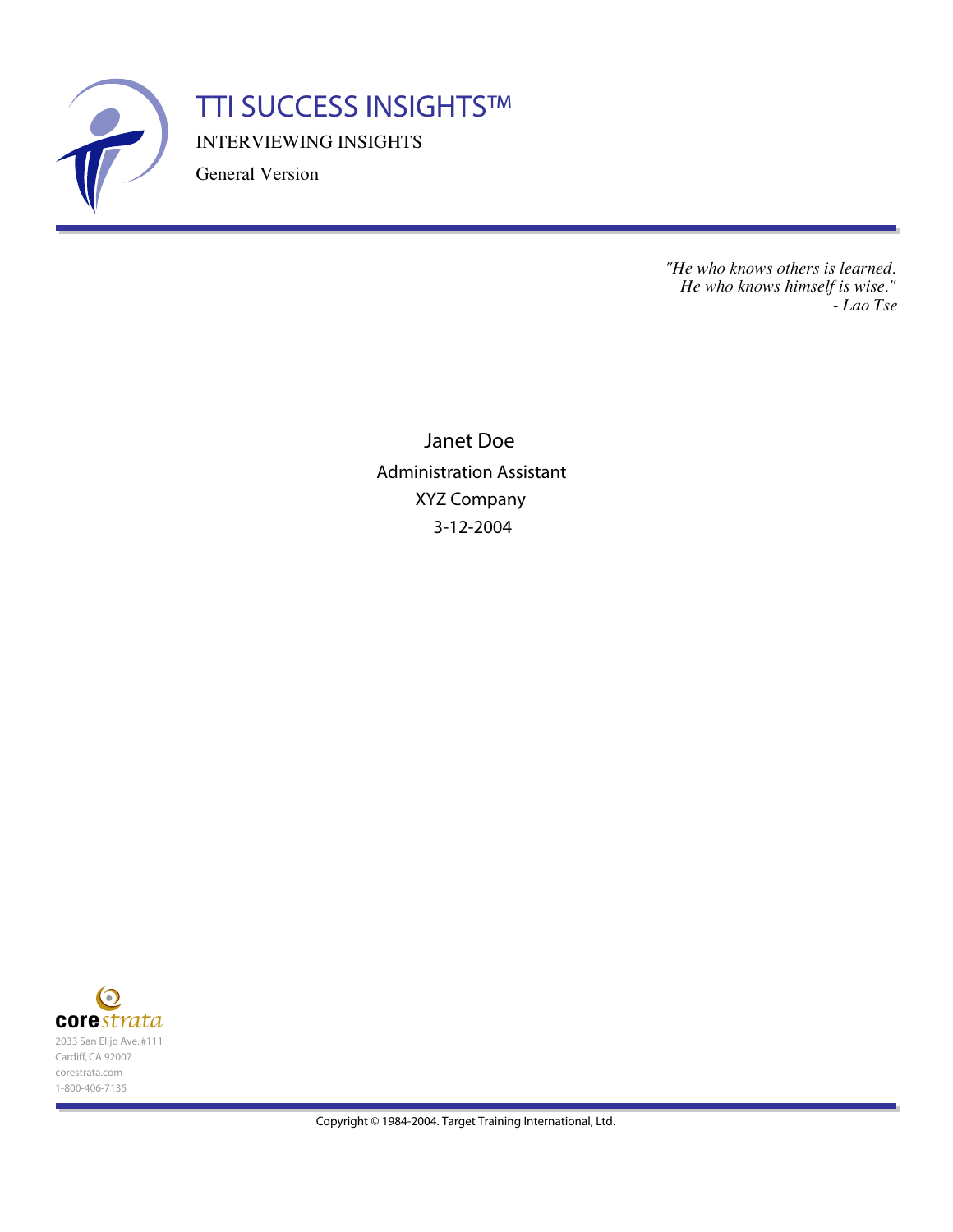

INTERVIEWING INSIGHTS TTI SUCCESS INSIGHTS™

General Version

*"He who knows others is learned. He who knows himself is wise." - Lao Tse*

Janet Doe Administration Assistant XYZ Company 3-12-2004

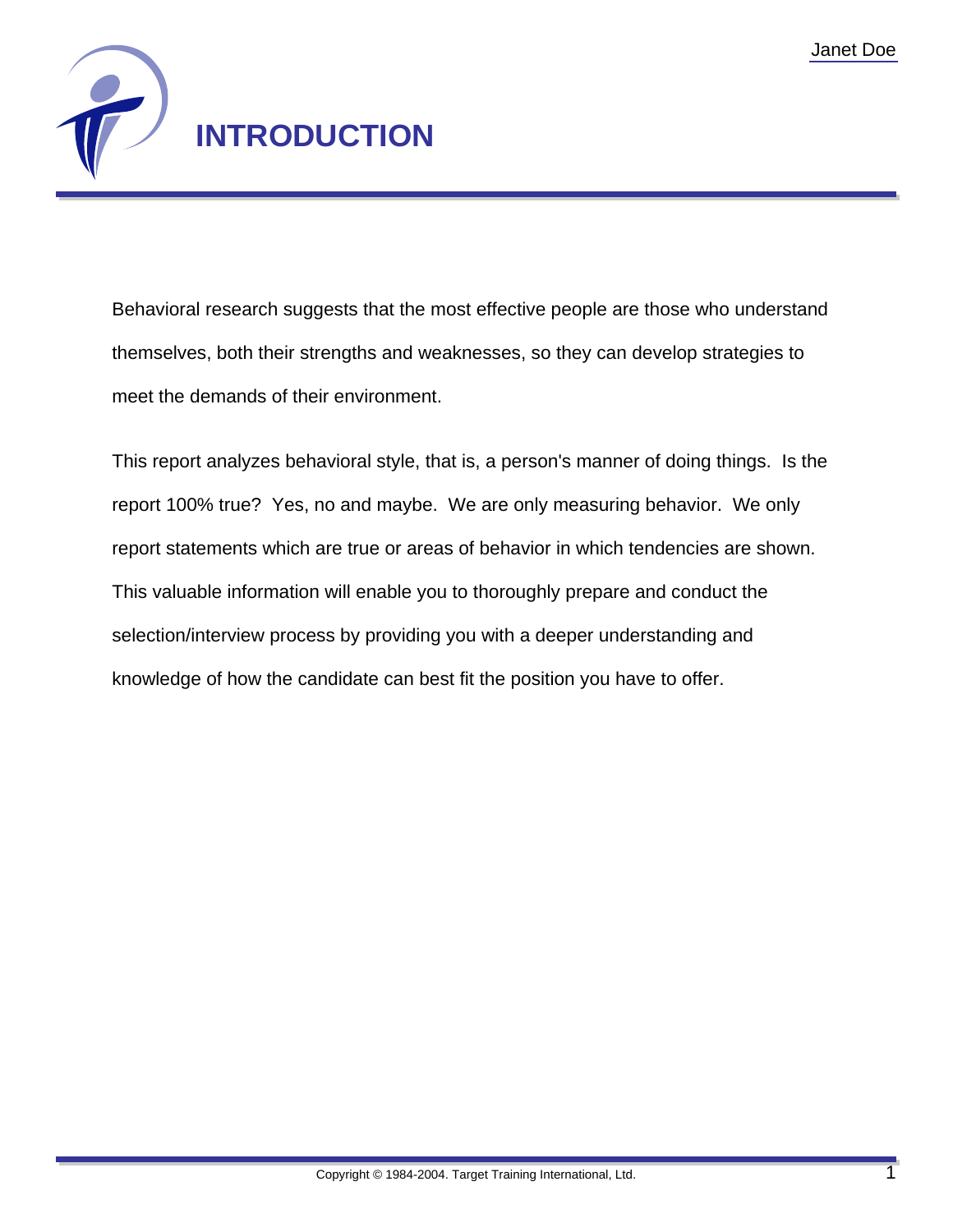

Behavioral research suggests that the most effective people are those who understand themselves, both their strengths and weaknesses, so they can develop strategies to meet the demands of their environment.

This report analyzes behavioral style, that is, a person's manner of doing things. Is the report 100% true? Yes, no and maybe. We are only measuring behavior. We only report statements which are true or areas of behavior in which tendencies are shown. This valuable information will enable you to thoroughly prepare and conduct the selection/interview process by providing you with a deeper understanding and knowledge of how the candidate can best fit the position you have to offer.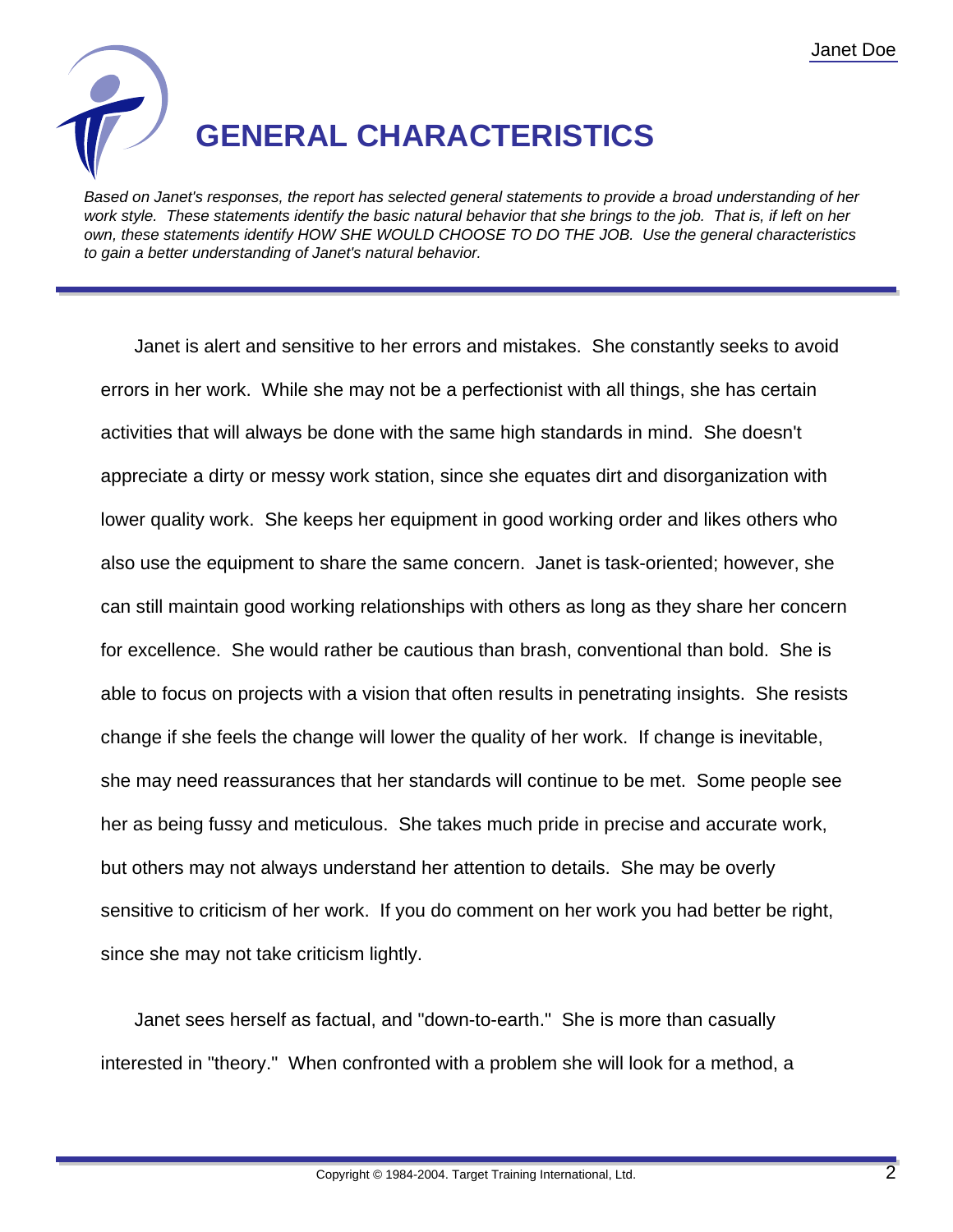

Based on Janet's responses, the report has selected general statements to provide a broad understanding of her work style. These statements identify the basic natural behavior that she brings to the job. That is, if left on her own, these statements identify HOW SHE WOULD CHOOSE TO DO THE JOB. Use the general characteristics to gain a better understanding of Janet's natural behavior.

Janet is alert and sensitive to her errors and mistakes. She constantly seeks to avoid errors in her work. While she may not be a perfectionist with all things, she has certain activities that will always be done with the same high standards in mind. She doesn't appreciate a dirty or messy work station, since she equates dirt and disorganization with lower quality work. She keeps her equipment in good working order and likes others who also use the equipment to share the same concern. Janet is task-oriented; however, she can still maintain good working relationships with others as long as they share her concern for excellence. She would rather be cautious than brash, conventional than bold. She is able to focus on projects with a vision that often results in penetrating insights. She resists change if she feels the change will lower the quality of her work. If change is inevitable, she may need reassurances that her standards will continue to be met. Some people see her as being fussy and meticulous. She takes much pride in precise and accurate work, but others may not always understand her attention to details. She may be overly sensitive to criticism of her work. If you do comment on her work you had better be right, since she may not take criticism lightly.

Janet sees herself as factual, and "down-to-earth." She is more than casually interested in "theory." When confronted with a problem she will look for a method, a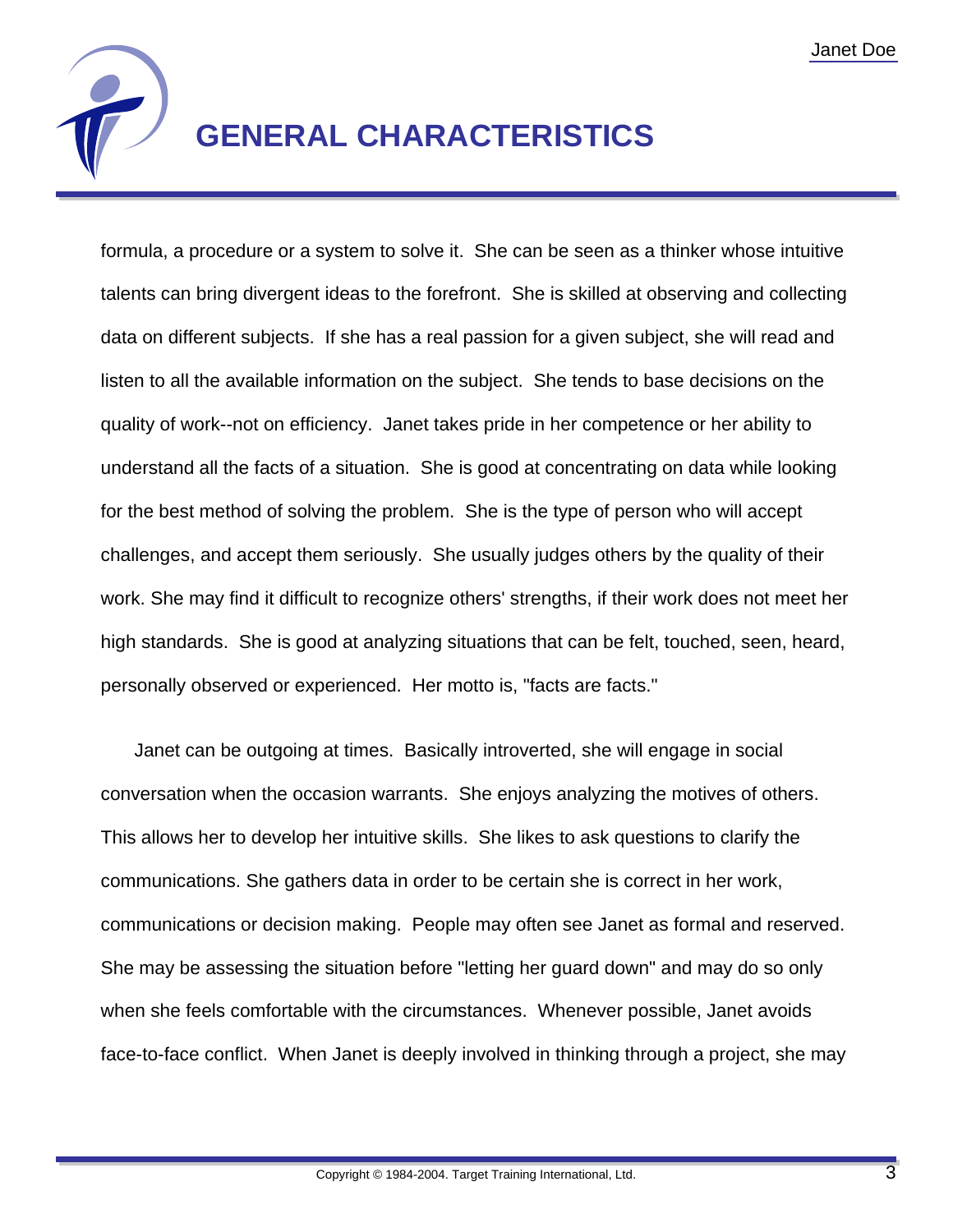

## **GENERAL CHARACTERISTICS**

formula, a procedure or a system to solve it. She can be seen as a thinker whose intuitive talents can bring divergent ideas to the forefront. She is skilled at observing and collecting data on different subjects. If she has a real passion for a given subject, she will read and listen to all the available information on the subject. She tends to base decisions on the quality of work--not on efficiency. Janet takes pride in her competence or her ability to understand all the facts of a situation. She is good at concentrating on data while looking for the best method of solving the problem. She is the type of person who will accept challenges, and accept them seriously. She usually judges others by the quality of their work. She may find it difficult to recognize others' strengths, if their work does not meet her high standards. She is good at analyzing situations that can be felt, touched, seen, heard, personally observed or experienced. Her motto is, "facts are facts."

Janet can be outgoing at times. Basically introverted, she will engage in social conversation when the occasion warrants. She enjoys analyzing the motives of others. This allows her to develop her intuitive skills. She likes to ask questions to clarify the communications. She gathers data in order to be certain she is correct in her work, communications or decision making. People may often see Janet as formal and reserved. She may be assessing the situation before "letting her guard down" and may do so only when she feels comfortable with the circumstances. Whenever possible, Janet avoids face-to-face conflict. When Janet is deeply involved in thinking through a project, she may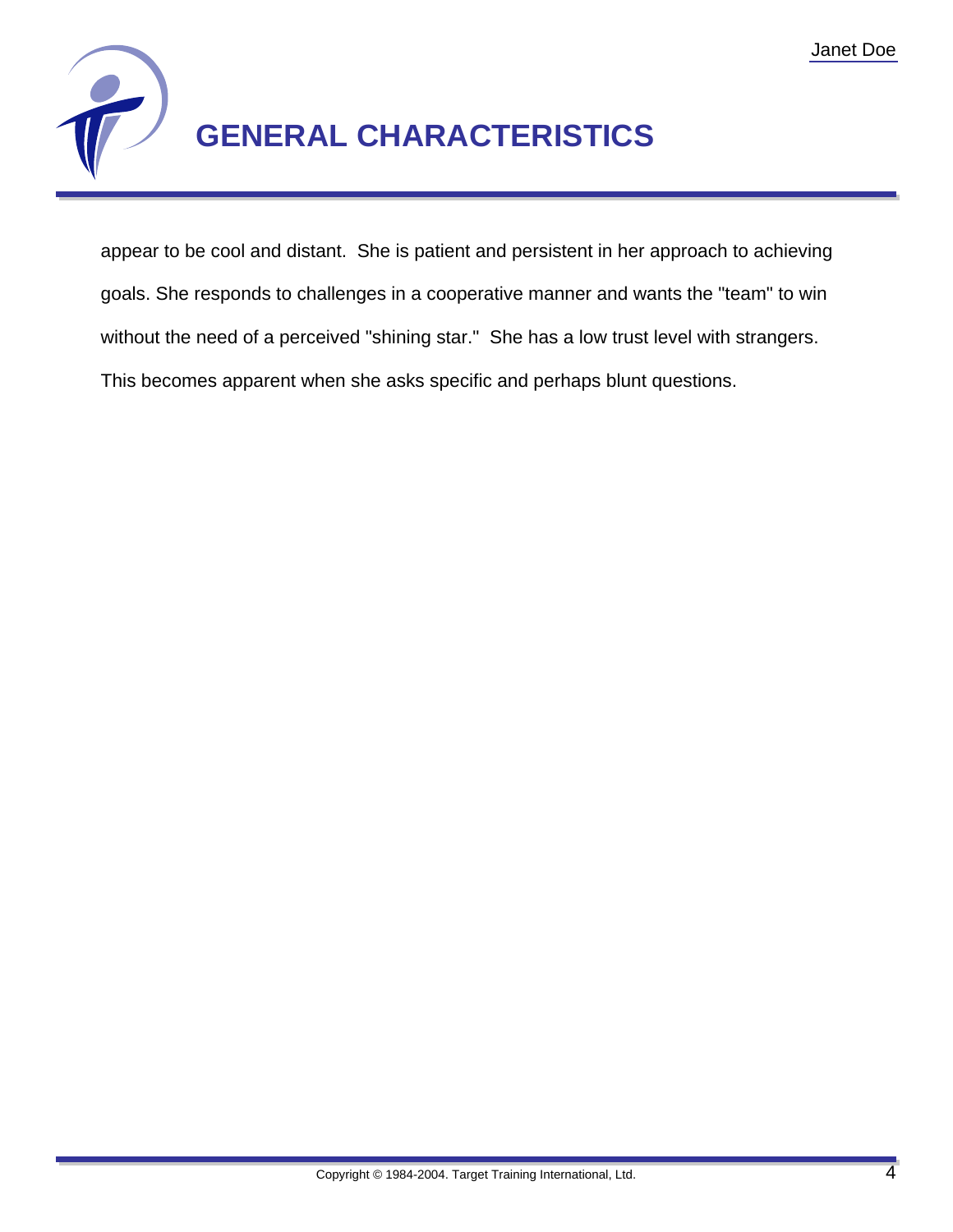

appear to be cool and distant. She is patient and persistent in her approach to achieving goals. She responds to challenges in a cooperative manner and wants the "team" to win without the need of a perceived "shining star." She has a low trust level with strangers. This becomes apparent when she asks specific and perhaps blunt questions.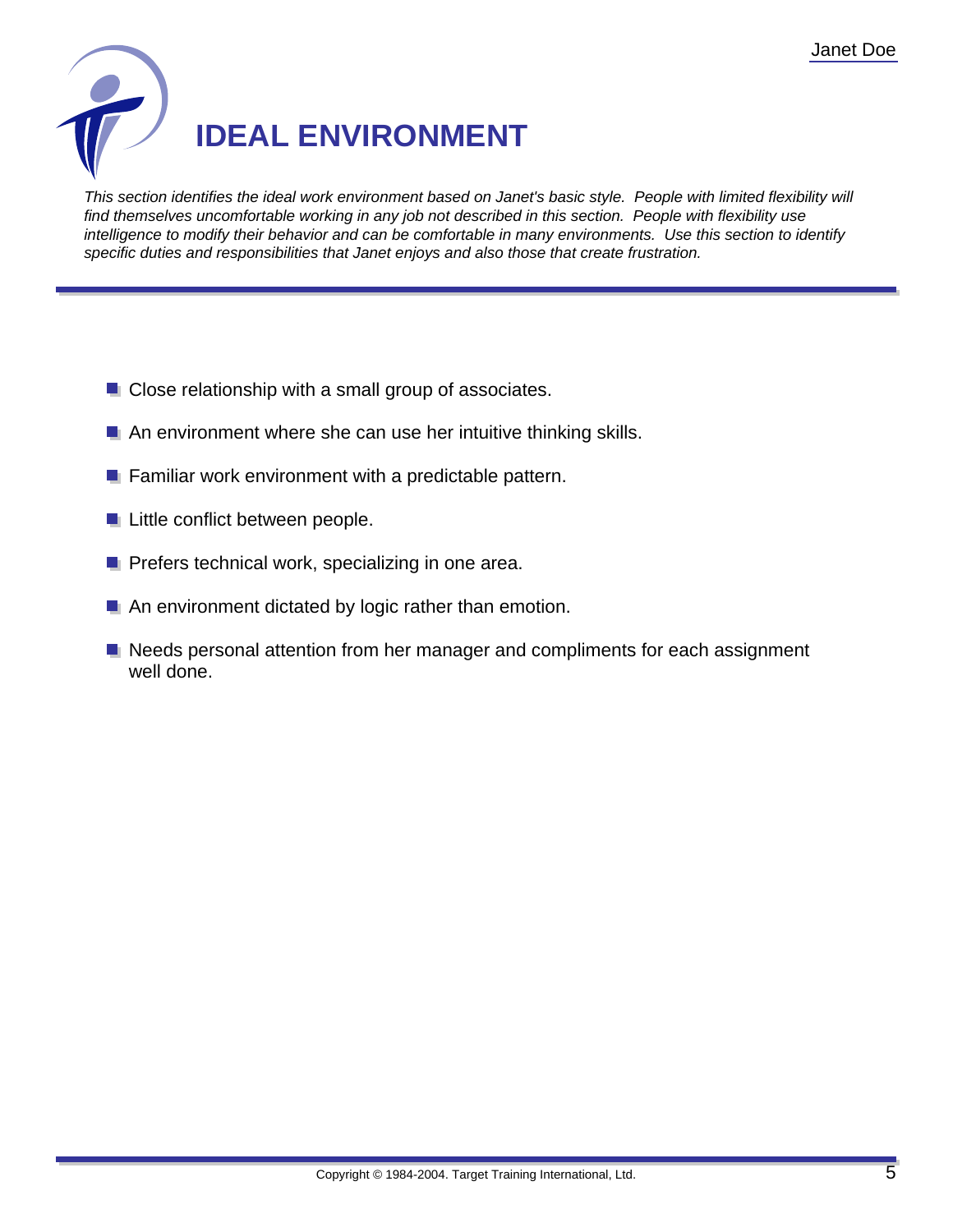

This section identifies the ideal work environment based on Janet's basic style. People with limited flexibility will find themselves uncomfortable working in any job not described in this section. People with flexibility use intelligence to modify their behavior and can be comfortable in many environments. Use this section to identify specific duties and responsibilities that Janet enjoys and also those that create frustration.

- **Close relationship with a small group of associates.**
- **An environment where she can use her intuitive thinking skills.**
- $\blacksquare$  Familiar work environment with a predictable pattern.
- **Little conflict between people.**
- **P** Prefers technical work, specializing in one area.
- An environment dictated by logic rather than emotion.
- Needs personal attention from her manager and compliments for each assignment well done.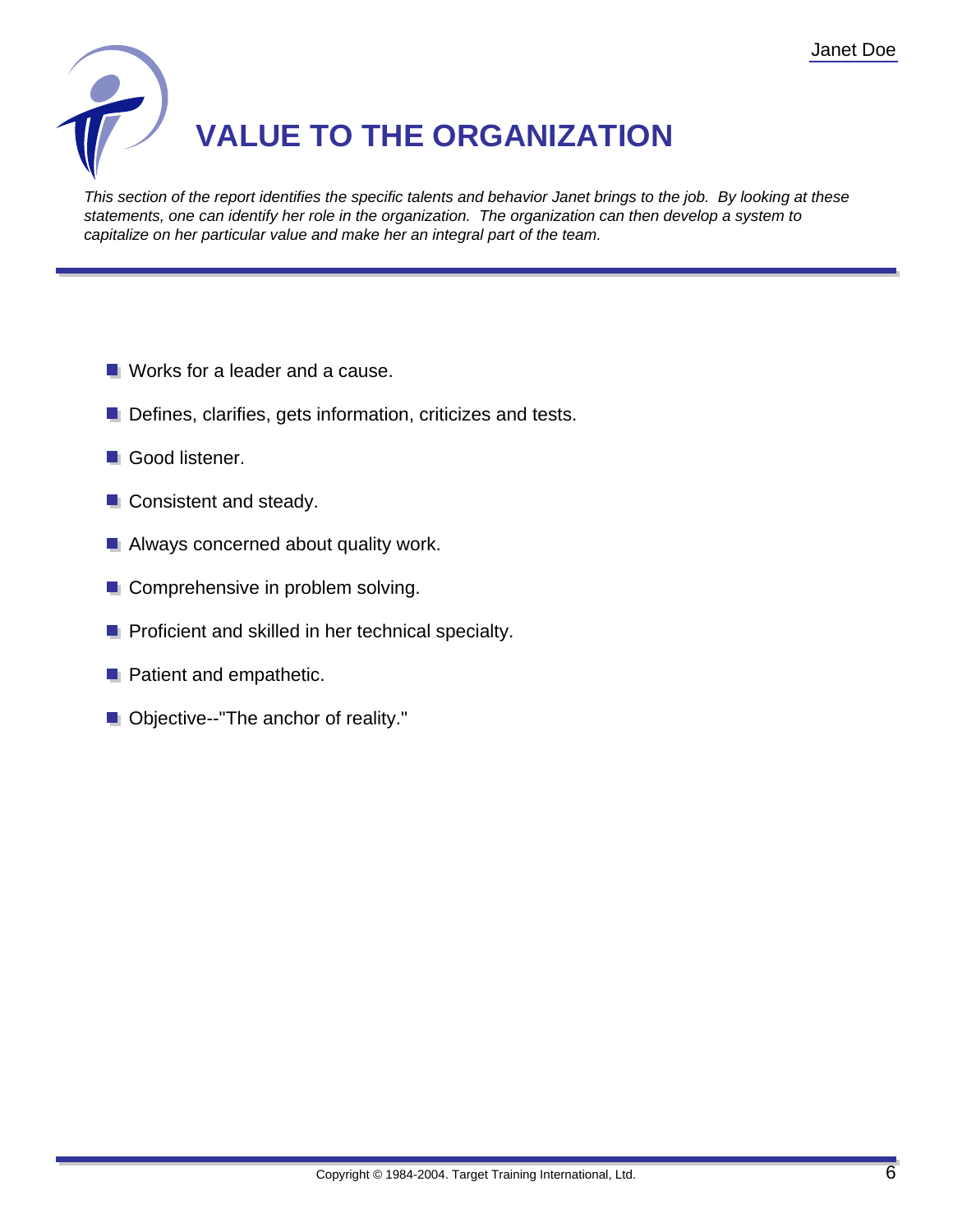

This section of the report identifies the specific talents and behavior Janet brings to the job. By looking at these statements, one can identify her role in the organization. The organization can then develop a system to capitalize on her particular value and make her an integral part of the team.

- **Norks for a leader and a cause.**
- **Defines, clarifies, gets information, criticizes and tests.**
- Good listener.
- **Consistent and steady.**
- **Always concerned about quality work.**
- **Comprehensive in problem solving.**
- **P** Proficient and skilled in her technical specialty.
- **Patient and empathetic.**
- **Objective--"The anchor of reality."**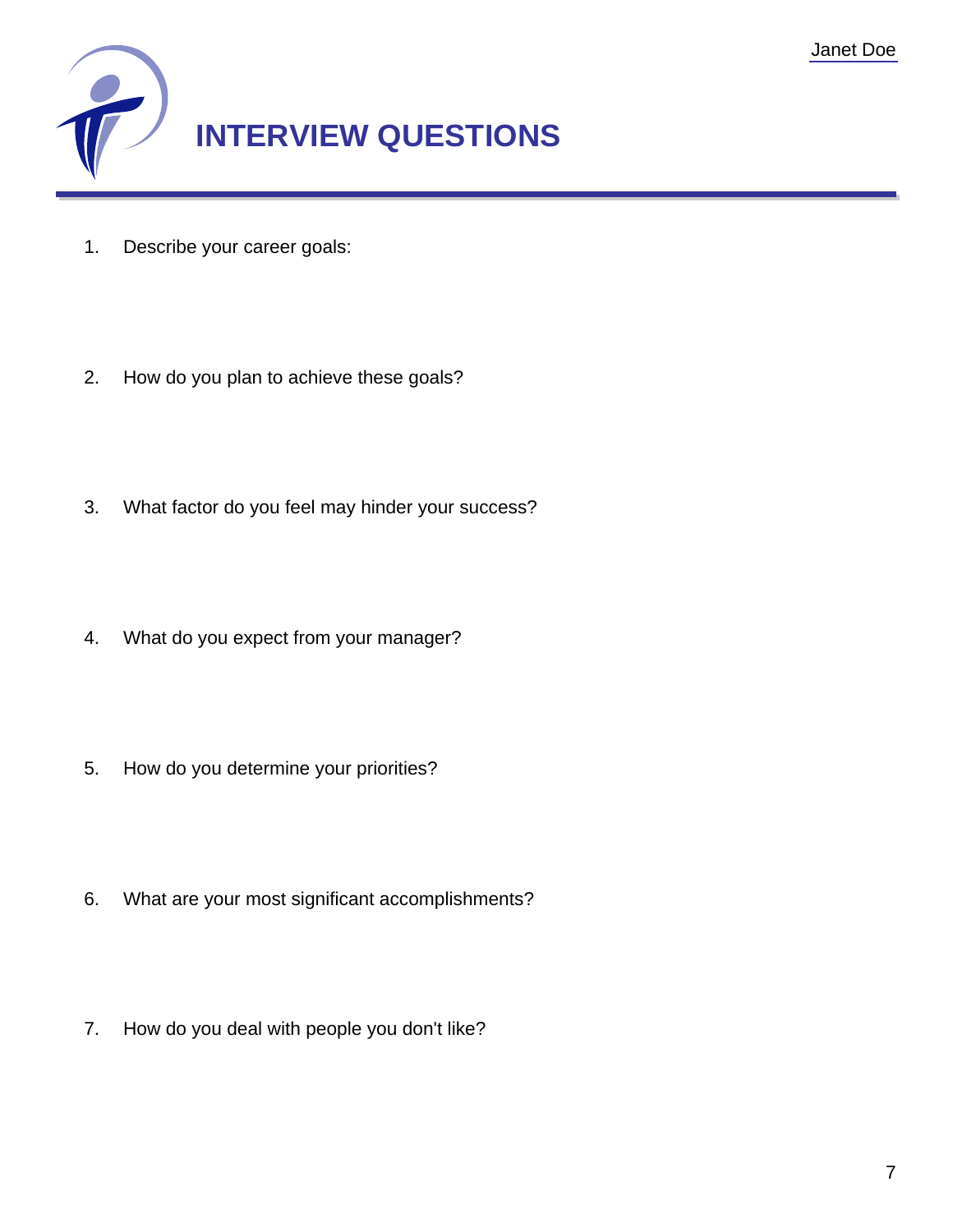

- 1. Describe your career goals:
- 2. How do you plan to achieve these goals?
- 3. What factor do you feel may hinder your success?
- 4. What do you expect from your manager?
- 5. How do you determine your priorities?
- 6. What are your most significant accomplishments?
- 7. How do you deal with people you don't like?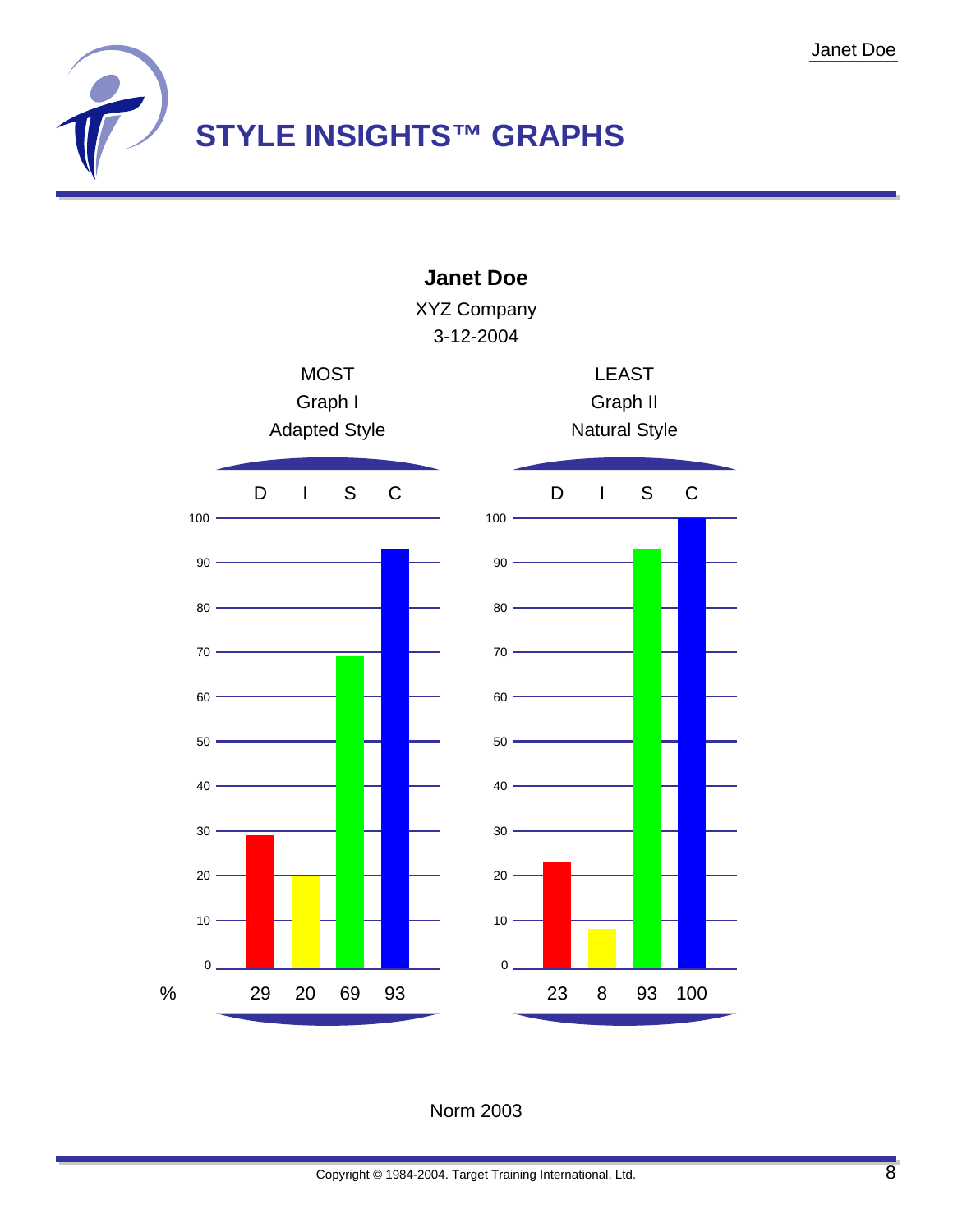



Norm 2003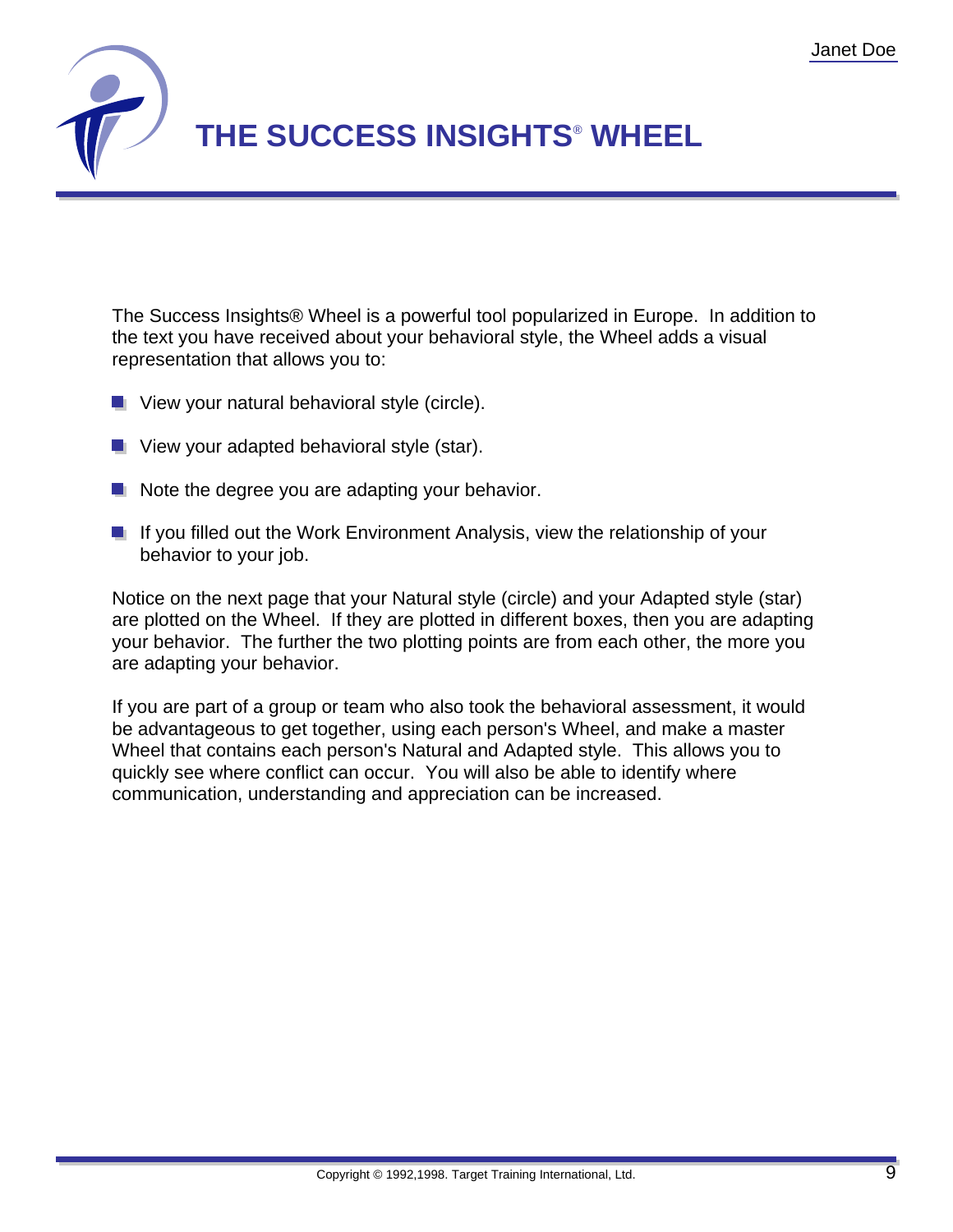

The Success Insights® Wheel is a powerful tool popularized in Europe. In addition to the text you have received about your behavioral style, the Wheel adds a visual representation that allows you to:

- $\blacksquare$  View your natural behavioral style (circle).
- **U** View your adapted behavioral style (star).
- $\blacksquare$  Note the degree you are adapting your behavior.
- If you filled out the Work Environment Analysis, view the relationship of your behavior to your job.

Notice on the next page that your Natural style (circle) and your Adapted style (star) are plotted on the Wheel. If they are plotted in different boxes, then you are adapting your behavior. The further the two plotting points are from each other, the more you are adapting your behavior.

If you are part of a group or team who also took the behavioral assessment, it would be advantageous to get together, using each person's Wheel, and make a master Wheel that contains each person's Natural and Adapted style. This allows you to quickly see where conflict can occur. You will also be able to identify where communication, understanding and appreciation can be increased.